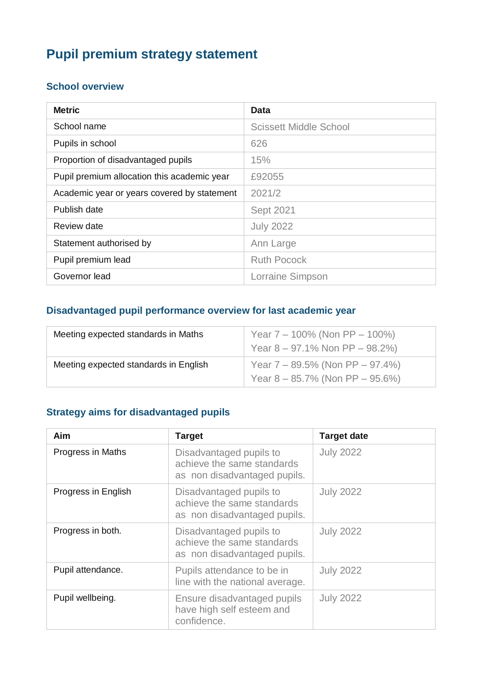# **Pupil premium strategy statement**

#### **School overview**

| <b>Metric</b>                               | Data                          |
|---------------------------------------------|-------------------------------|
| School name                                 | <b>Scissett Middle School</b> |
| Pupils in school                            | 626                           |
| Proportion of disadvantaged pupils          | 15%                           |
| Pupil premium allocation this academic year | £92055                        |
| Academic year or years covered by statement | 2021/2                        |
| Publish date                                | Sept 2021                     |
| Review date                                 | <b>July 2022</b>              |
| Statement authorised by                     | Ann Large                     |
| Pupil premium lead                          | <b>Ruth Pocock</b>            |
| Governor lead                               | Lorraine Simpson              |

#### **Disadvantaged pupil performance overview for last academic year**

| Meeting expected standards in Maths   | Year $7 - 100\%$ (Non PP $- 100\%$ )<br>Year $8 - 97.1\%$ Non PP $- 98.2\%$      |
|---------------------------------------|----------------------------------------------------------------------------------|
| Meeting expected standards in English | Year $7 - 89.5\%$ (Non PP $- 97.4\%$ )<br>Year $8 - 85.7\%$ (Non PP $- 95.6\%$ ) |

### **Strategy aims for disadvantaged pupils**

| Aim                 | <b>Target</b>                                                                         | <b>Target date</b> |
|---------------------|---------------------------------------------------------------------------------------|--------------------|
| Progress in Maths   | Disadvantaged pupils to<br>achieve the same standards<br>as non disadvantaged pupils. | <b>July 2022</b>   |
| Progress in English | Disadvantaged pupils to<br>achieve the same standards<br>as non disadvantaged pupils. | <b>July 2022</b>   |
| Progress in both.   | Disadvantaged pupils to<br>achieve the same standards<br>as non disadvantaged pupils. | <b>July 2022</b>   |
| Pupil attendance.   | Pupils attendance to be in<br>line with the national average.                         | <b>July 2022</b>   |
| Pupil wellbeing.    | Ensure disadvantaged pupils<br>have high self esteem and<br>confidence.               | <b>July 2022</b>   |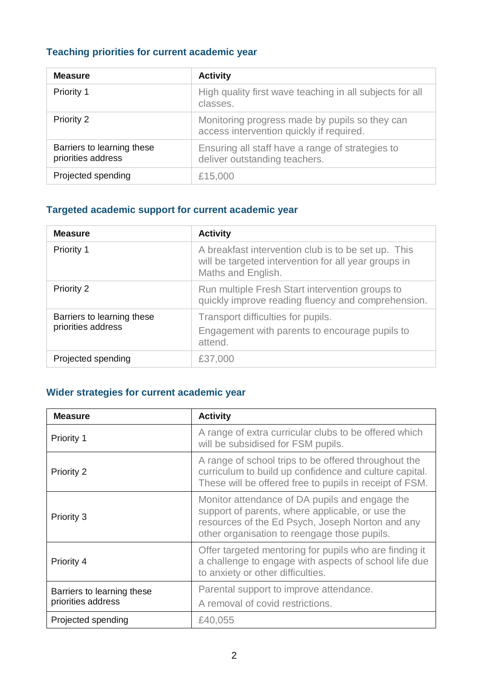# **Teaching priorities for current academic year**

| <b>Measure</b>                                   | <b>Activity</b>                                                                            |
|--------------------------------------------------|--------------------------------------------------------------------------------------------|
| Priority 1                                       | High quality first wave teaching in all subjects for all<br>classes.                       |
| <b>Priority 2</b>                                | Monitoring progress made by pupils so they can<br>access intervention quickly if required. |
| Barriers to learning these<br>priorities address | Ensuring all staff have a range of strategies to<br>deliver outstanding teachers.          |
| Projected spending                               | £15,000                                                                                    |

### **Targeted academic support for current academic year**

| <b>Measure</b>                                   | <b>Activity</b>                                                                                                                   |
|--------------------------------------------------|-----------------------------------------------------------------------------------------------------------------------------------|
| Priority 1                                       | A breakfast intervention club is to be set up. This<br>will be targeted intervention for all year groups in<br>Maths and English. |
| <b>Priority 2</b>                                | Run multiple Fresh Start intervention groups to<br>quickly improve reading fluency and comprehension.                             |
| Barriers to learning these<br>priorities address | Transport difficulties for pupils.<br>Engagement with parents to encourage pupils to<br>attend.                                   |
| Projected spending                               | £37,000                                                                                                                           |

### **Wider strategies for current academic year**

| <b>Measure</b>                                   | <b>Activity</b>                                                                                                                                                                                        |
|--------------------------------------------------|--------------------------------------------------------------------------------------------------------------------------------------------------------------------------------------------------------|
| Priority 1                                       | A range of extra curricular clubs to be offered which<br>will be subsidised for FSM pupils.                                                                                                            |
| <b>Priority 2</b>                                | A range of school trips to be offered throughout the<br>curriculum to build up confidence and culture capital.<br>These will be offered free to pupils in receipt of FSM.                              |
| Priority 3                                       | Monitor attendance of DA pupils and engage the<br>support of parents, where applicable, or use the<br>resources of the Ed Psych, Joseph Norton and any<br>other organisation to reengage those pupils. |
| Priority 4                                       | Offer targeted mentoring for pupils who are finding it<br>a challenge to engage with aspects of school life due<br>to anxiety or other difficulties.                                                   |
| Barriers to learning these<br>priorities address | Parental support to improve attendance.<br>A removal of covid restrictions.                                                                                                                            |
| Projected spending                               | £40,055                                                                                                                                                                                                |